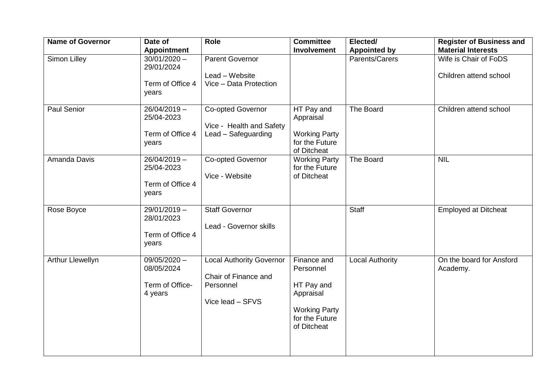| <b>Name of Governor</b> | Date of<br><b>Appointment</b>                              | Role                                                                                     | <b>Committee</b><br>Involvement                                                                              | Elected/<br><b>Appointed by</b> | <b>Register of Business and</b><br><b>Material Interests</b> |
|-------------------------|------------------------------------------------------------|------------------------------------------------------------------------------------------|--------------------------------------------------------------------------------------------------------------|---------------------------------|--------------------------------------------------------------|
| Simon Lilley            | $30/01/2020 -$<br>29/01/2024<br>Term of Office 4<br>years  | <b>Parent Governor</b><br>Lead - Website<br>Vice - Data Protection                       |                                                                                                              | Parents/Carers                  | Wife is Chair of FoDS<br>Children attend school              |
| Paul Senior             | $26/04/2019 -$<br>25/04-2023<br>Term of Office 4<br>years  | Co-opted Governor<br>Vice - Health and Safety<br>Lead - Safeguarding                     | HT Pay and<br>Appraisal<br><b>Working Party</b><br>for the Future<br>of Ditcheat                             | The Board                       | Children attend school                                       |
| Amanda Davis            | $26/04/2019 -$<br>25/04-2023<br>Term of Office 4<br>years  | Co-opted Governor<br>Vice - Website                                                      | <b>Working Party</b><br>for the Future<br>of Ditcheat                                                        | The Board                       | <b>NIL</b>                                                   |
| Rose Boyce              | $29/01/2019 -$<br>28/01/2023<br>Term of Office 4<br>years  | <b>Staff Governor</b><br>Lead - Governor skills                                          |                                                                                                              | <b>Staff</b>                    | <b>Employed at Ditcheat</b>                                  |
| Arthur Llewellyn        | $09/05/2020 -$<br>08/05/2024<br>Term of Office-<br>4 years | <b>Local Authority Governor</b><br>Chair of Finance and<br>Personnel<br>Vice lead - SFVS | Finance and<br>Personnel<br>HT Pay and<br>Appraisal<br><b>Working Party</b><br>for the Future<br>of Ditcheat | <b>Local Authority</b>          | On the board for Ansford<br>Academy.                         |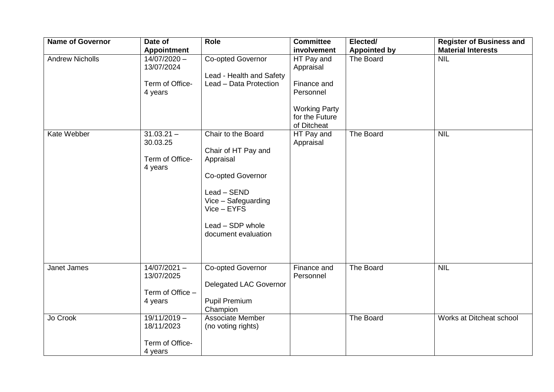| <b>Name of Governor</b> | Date of<br><b>Appointment</b>                               | Role                                                                                                                                                                               | <b>Committee</b><br>involvement                                                                              | Elected/                         | <b>Register of Business and</b><br><b>Material Interests</b> |
|-------------------------|-------------------------------------------------------------|------------------------------------------------------------------------------------------------------------------------------------------------------------------------------------|--------------------------------------------------------------------------------------------------------------|----------------------------------|--------------------------------------------------------------|
| <b>Andrew Nicholls</b>  | $14/07/2020 -$<br>13/07/2024<br>Term of Office-<br>4 years  | Co-opted Governor<br>Lead - Health and Safety<br>Lead - Data Protection                                                                                                            | HT Pay and<br>Appraisal<br>Finance and<br>Personnel<br><b>Working Party</b><br>for the Future<br>of Ditcheat | <b>Appointed by</b><br>The Board | <b>NIL</b>                                                   |
| Kate Webber             | $31.03.21 -$<br>30.03.25<br>Term of Office-<br>4 years      | Chair to the Board<br>Chair of HT Pay and<br>Appraisal<br><b>Co-opted Governor</b><br>Lead - SEND<br>Vice - Safeguarding<br>Vice - EYFS<br>Lead - SDP whole<br>document evaluation | HT Pay and<br>Appraisal                                                                                      | The Board                        | <b>NIL</b>                                                   |
| Janet James             | $14/07/2021 -$<br>13/07/2025<br>Term of Office -<br>4 years | <b>Co-opted Governor</b><br>Delegated LAC Governor<br>Pupil Premium<br>Champion                                                                                                    | Finance and<br>Personnel                                                                                     | The Board                        | <b>NIL</b>                                                   |
| Jo Crook                | $19/11/2019 -$<br>18/11/2023<br>Term of Office-<br>4 years  | Associate Member<br>(no voting rights)                                                                                                                                             |                                                                                                              | The Board                        | Works at Ditcheat school                                     |